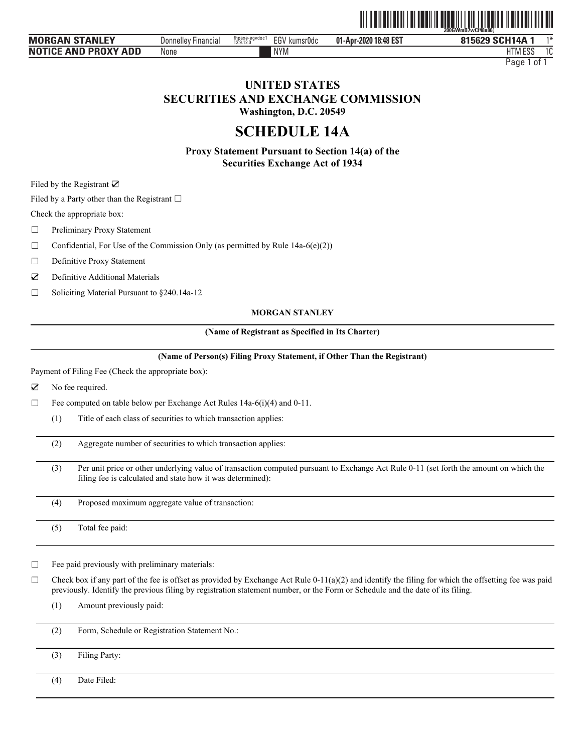

| <b>MORGAN STANLEY</b>                           | ' Financial<br><b>Donnelley</b> | EGV<br>fhpaxe-e<br>12.9.12.0<br>eqvdoc<br>kumsr0do | 18:48 EST<br>01-Apr-<br>2020<br>$\ddot{\phantom{1}}$ | 815629 SCH14A         | $4 +$ |
|-------------------------------------------------|---------------------------------|----------------------------------------------------|------------------------------------------------------|-----------------------|-------|
| <b>AND PROXY</b><br><b>NOTICE</b><br><b>ADD</b> | None                            | <b>NYM</b>                                         |                                                      | <b>FOC</b><br>HIM ESS |       |

Page 1 of 1

# **UNITED STATES SECURITIES AND EXCHANGE COMMISSION Washington, D.C. 20549**

**SCHEDULE 14A** 

**Proxy Statement Pursuant to Section 14(a) of the Securities Exchange Act of 1934** 

Filed by the Registrant ☑

Filed by a Party other than the Registrant  $\Box$ 

Check the appropriate box:

□ Preliminary Proxy Statement

 $\Box$  Confidential, For Use of the Commission Only (as permitted by Rule 14a-6(e)(2))

□ Definitive Proxy Statement

☑ Definitive Additional Materials

☐ Soliciting Material Pursuant to §240.14a-12

#### **MORGAN STANLEY**

#### **(Name of Registrant as Specified in Its Charter)**

**(Name of Person(s) Filing Proxy Statement, if Other Than the Registrant)**

Payment of Filing Fee (Check the appropriate box):

☑ No fee required.

 $\Box$  Fee computed on table below per Exchange Act Rules 14a-6(i)(4) and 0-11.

(1) Title of each class of securities to which transaction applies:

(2) Aggregate number of securities to which transaction applies:

(3) Per unit price or other underlying value of transaction computed pursuant to Exchange Act Rule 0-11 (set forth the amount on which the filing fee is calculated and state how it was determined):

(4) Proposed maximum aggregate value of transaction:

(5) Total fee paid:

 $\Box$  Fee paid previously with preliminary materials:

 $\Box$  Check box if any part of the fee is offset as provided by Exchange Act Rule 0-11(a)(2) and identify the filing for which the offsetting fee was paid previously. Identify the previous filing by registration statement number, or the Form or Schedule and the date of its filing.

(1) Amount previously paid:

(2) Form, Schedule or Registration Statement No.:

(3) Filing Party:

(4) Date Filed: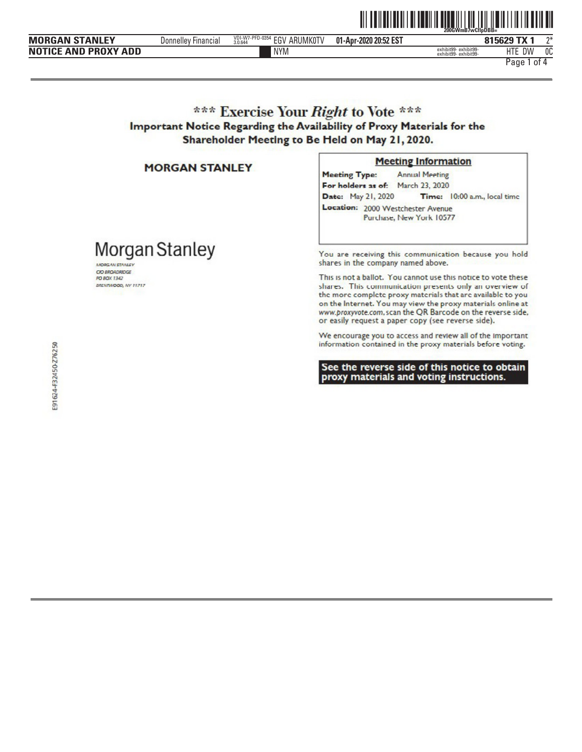|                             |                                       |                                               |                       | 200GWmB7wCflpDBB=                            |                         |     |
|-----------------------------|---------------------------------------|-----------------------------------------------|-----------------------|----------------------------------------------|-------------------------|-----|
| <b>MORGAN STANLEY</b>       | $- \cdot$<br>Donnelley<br>' Financial | VDI-W7-PFD-0354<br>EGV<br>ARUMK0TV<br>3.0.644 | 01-Apr-2020 20:52 EST |                                              | $-$ TV $\sim$<br>815629 | ົາ* |
| <b>NOTICE AND PROXY ADD</b> |                                       | <b>NYM</b>                                    |                       | exhibit99-exhibit99-<br>exhibit99-exhibit99- | IITF<br>DW              | 0C  |

Page 1 of 4

# \*\*\* Exercise Your Right to Vote \*\*\* Important Notice Regarding the Availability of Proxy Materials for the Shareholder Meeting to Be Held on May 21, 2020.

### **MORGAN STANLEY**

Morgan Stanley

MORGAN STANLEY CIO BROADRIDGE

**PO BOX 1342** BRENTWOOD, NY 11717

#### **Meeting Information**

<u> All an Ilai Ialah Lal Tanil II atau 111 Juli 1111 Ilain 1111 Ilain Delandi</u>

**Annual Meeting Meeting Type:** For holders as of: March 23, 2020 Date: May 21, 2020 Time: 10:00 a.m., local time Location: 2000 Westchester Avenue Purchase, New York 10577

You are receiving this communication because you hold shares in the company named above.

This is not a ballot. You cannot use this notice to vote these shares. This communication presents only an overview of the more complete proxy materials that are available to you on the Internet. You may view the proxy materials online at www.proxyvote.com, scan the QR Barcode on the reverse side, or easily request a paper copy (see reverse side).

We encourage you to access and review all of the important information contained in the proxy materials before voting.

See the reverse side of this notice to obtain proxy materials and voting instructions.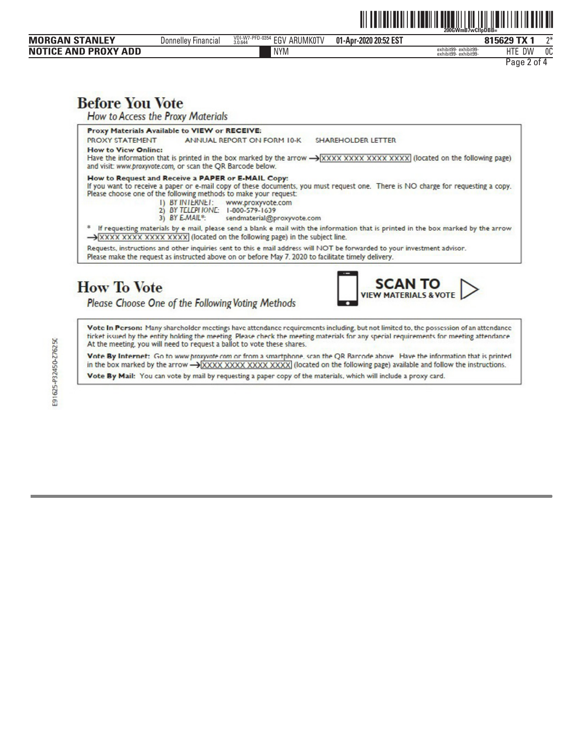| <b>MORGAN STANLEY</b>       | <b>Donnelley Financial</b> | VDI-W7-PFD-0354<br><b>EGV ARUMKOTV</b><br>3.0.644 | 01-Apr-2020 20:52 EST |                                              | 815629 TX 1 | ን* |  |
|-----------------------------|----------------------------|---------------------------------------------------|-----------------------|----------------------------------------------|-------------|----|--|
| <b>NOTICE AND PROXY ADD</b> |                            | <b>NYM</b>                                        |                       | exhibit99-exhibit99-<br>exhibit99-exhibit99- | HTE DW      | 0C |  |
|                             |                            |                                                   |                       |                                              | Page 2 of 4 |    |  |
|                             |                            |                                                   |                       |                                              |             |    |  |
|                             |                            |                                                   |                       |                                              |             |    |  |
| <b>Before You Vote</b>      |                            |                                                   |                       |                                              |             |    |  |

**How to Access the Proxy Materials** 

Proxy Materials Available to VIEW or RECEIVE:

**PROXY STATEMENT** ANNUAL REPORT ON FORM 10-K SHAREHOLDER LETTER **How to View Online:** 

Have the information that is printed in the box marked by the arrow -> XXXX XXXX XXXX XXXX (located on the following page) and visit: www.proxyvote.com, or scan the QR Barcode below.

## How to Request and Receive a PAPER or E-MAIL Copy:

If you want to receive a paper or e-mail copy of these documents, you must request one. There is NO charge for requesting a copy. Please choose one of the following methods to make your request:

- 1) BY INTERNET: www.proxyvote.com<br>2) BY TELEPHONE: 1-000-579-1639
	-
- 3) BY E-MAIL\*: sendmaterial@proxyvote.com

\* If requesting materials by e mail, please send a blank e mail with the information that is printed in the box marked by the arrow > XXXX XXXX XXXX XXXX (located on the following page) in the subject line.

Requests, instructions and other inquiries sent to this e mail address will NOT be forwarded to your investment advisor.

Please make the request as instructed above on or before May 7. 2020 to facilitate timely delivery.

# **How To Vote**

Please Choose One of the Following Voting Methods



<u> All an Ilalia all an ann an ann an 111 an 111 an Aonaichte an 111 an 121 an 121 an 121 an 121 an 121 an 121 an </u>

Vote In Person: Many shareholder meetings have attendance requirements including, but not limited to, the possession of an attendance ticket issued by the entity holding the meeting. Please check the meeting materials for any special requirements for meeting attendance<br>At the meeting, you will need to request a ballot to vote these shares.

Vote By Internet: Go to www.proxyvate.com or from a smartphone, scan the QR Barcode above. Have the information that is printed in the box marked by the arrow -> XXXX XXXX XXXX XXXX (located on the following page) available and follow the instructions.

Vote By Mail: You can vote by mail by requesting a paper copy of the materials, which will include a proxy card.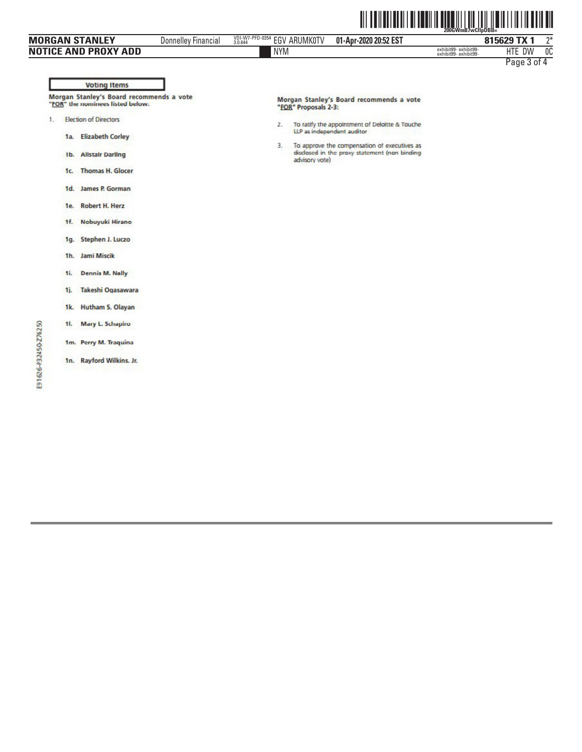|               |                                                                              | <b>MORGAN STANLEY</b>                                   | <b>Donnelley Financial</b> | VDI-W7-PFD-0354<br>3.0.644 | <b>EGV ARUMK0TV</b>  | 01-Apr-2020 20:52 EST                                                                                                        |                                               | 815629 TX 1 | $2^*$ |
|---------------|------------------------------------------------------------------------------|---------------------------------------------------------|----------------------------|----------------------------|----------------------|------------------------------------------------------------------------------------------------------------------------------|-----------------------------------------------|-------------|-------|
|               |                                                                              | <b>NOTICE AND PROXY ADD</b>                             |                            | <b>NYM</b>                 |                      |                                                                                                                              | exhibit99-exhibit99-<br>exhibit99- exhibit99- | HTE DW      | 0C    |
|               |                                                                              | <b>Voting Items</b>                                     |                            |                            |                      |                                                                                                                              |                                               | Page 3 of 4 |       |
|               | Morgan Stanley's Board recommends a vote<br>"FOR" the nominees listed below: |                                                         |                            |                            | "FOR" Proposals 2-3: | Morgan Stanley's Board recommends a vote                                                                                     |                                               |             |       |
| 1.            | 1a.                                                                          | <b>Election of Directors</b><br><b>Elizabeth Corley</b> |                            | 2.<br>3.                   |                      | To ratify the appointment of Deloitte & Touche<br>LLP as independent auditor<br>To approve the compensation of executives as |                                               |             |       |
|               | 1 <sub>b</sub><br>1c.                                                        | <b>Allstair Darling</b><br><b>Thomas H. Glocer</b>      |                            |                            | advisory vote)       | disclosed in the proxy statement (non binding                                                                                |                                               |             |       |
|               | 1d.                                                                          | James P. Gorman                                         |                            |                            |                      |                                                                                                                              |                                               |             |       |
|               | 1e.                                                                          | <b>Robert H. Herz</b>                                   |                            |                            |                      |                                                                                                                              |                                               |             |       |
|               | 1f.                                                                          | Nobuyuki Hirano                                         |                            |                            |                      |                                                                                                                              |                                               |             |       |
|               | 1q.                                                                          | Stephen J. Luczo                                        |                            |                            |                      |                                                                                                                              |                                               |             |       |
|               | 1 <sub>h</sub>                                                               | Jami Miscik                                             |                            |                            |                      |                                                                                                                              |                                               |             |       |
|               | 1i.                                                                          | <b>Dennis M. Nally</b>                                  |                            |                            |                      |                                                                                                                              |                                               |             |       |
|               | 1i.                                                                          | Takeshi Ogasawara                                       |                            |                            |                      |                                                                                                                              |                                               |             |       |
|               | 1k.                                                                          | Hutham S. Olayan                                        |                            |                            |                      |                                                                                                                              |                                               |             |       |
|               | 11.                                                                          | Mary L. Schapiro                                        |                            |                            |                      |                                                                                                                              |                                               |             |       |
| P32450-Z76250 |                                                                              | 1m. Perry M. Traquina                                   |                            |                            |                      |                                                                                                                              |                                               |             |       |
|               |                                                                              | 1n. Rayford Wilkins, Jr.                                |                            |                            |                      |                                                                                                                              |                                               |             |       |

E91626-P32